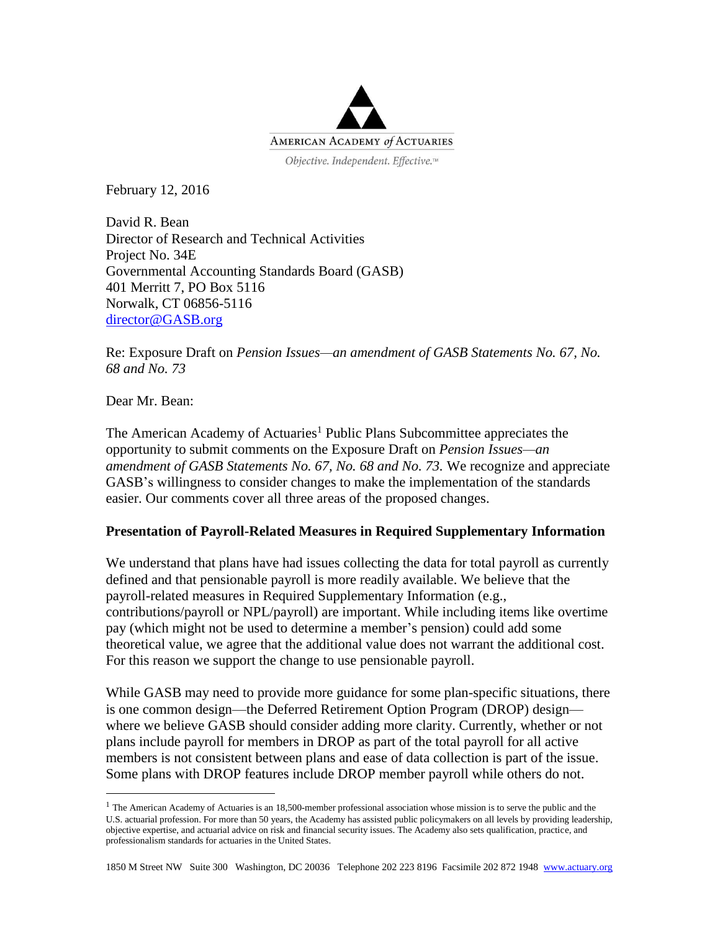

February 12, 2016

David R. Bean Director of Research and Technical Activities Project No. 34E Governmental Accounting Standards Board (GASB) 401 Merritt 7, PO Box 5116 Norwalk, CT 06856-5116 [director@GASB.org](mailto:director@GASB.org)

Re: Exposure Draft on *Pension Issues—an amendment of GASB Statements No. 67, No. 68 and No. 73*

Dear Mr. Bean:

 $\overline{a}$ 

The American Academy of Actuaries<sup>1</sup> Public Plans Subcommittee appreciates the opportunity to submit comments on the Exposure Draft on *Pension Issues—an amendment of GASB Statements No. 67, No. 68 and No. 73.* We recognize and appreciate GASB's willingness to consider changes to make the implementation of the standards easier. Our comments cover all three areas of the proposed changes.

## **Presentation of Payroll-Related Measures in Required Supplementary Information**

We understand that plans have had issues collecting the data for total payroll as currently defined and that pensionable payroll is more readily available. We believe that the payroll-related measures in Required Supplementary Information (e.g., contributions/payroll or NPL/payroll) are important. While including items like overtime pay (which might not be used to determine a member's pension) could add some theoretical value, we agree that the additional value does not warrant the additional cost. For this reason we support the change to use pensionable payroll.

While GASB may need to provide more guidance for some plan-specific situations, there is one common design—the Deferred Retirement Option Program (DROP) design where we believe GASB should consider adding more clarity. Currently, whether or not plans include payroll for members in DROP as part of the total payroll for all active members is not consistent between plans and ease of data collection is part of the issue. Some plans with DROP features include DROP member payroll while others do not.

 $<sup>1</sup>$  The American Academy of Actuaries is an 18,500-member professional association whose mission is to serve the public and the</sup> U.S. actuarial profession. For more than 50 years, the Academy has assisted public policymakers on all levels by providing leadership, objective expertise, and actuarial advice on risk and financial security issues. The Academy also sets qualification, practice, and professionalism standards for actuaries in the United States.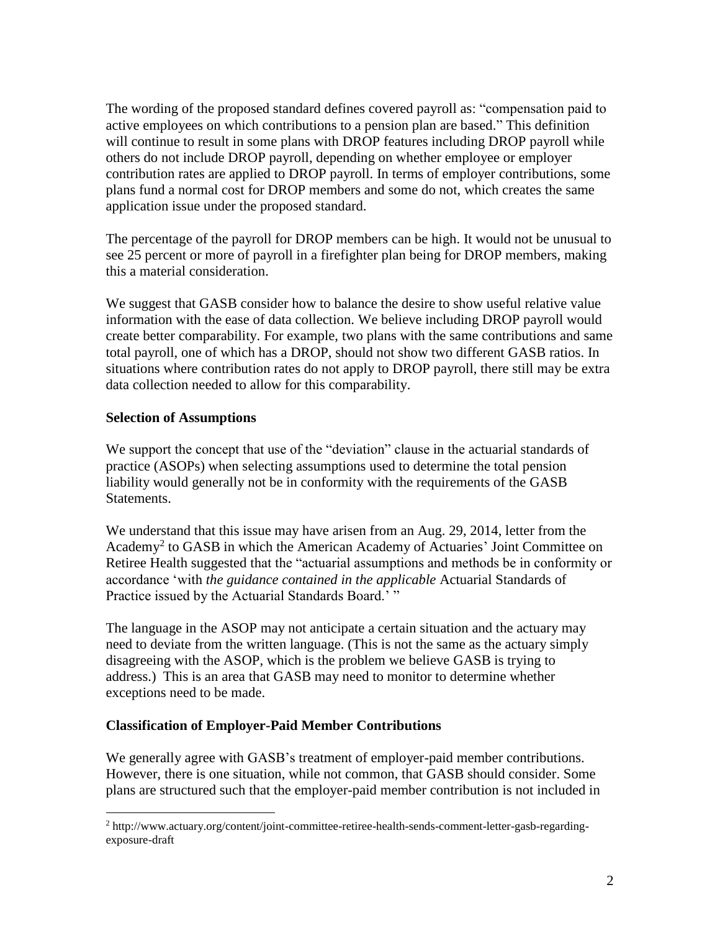The wording of the proposed standard defines covered payroll as: "compensation paid to active employees on which contributions to a pension plan are based." This definition will continue to result in some plans with DROP features including DROP payroll while others do not include DROP payroll, depending on whether employee or employer contribution rates are applied to DROP payroll. In terms of employer contributions, some plans fund a normal cost for DROP members and some do not, which creates the same application issue under the proposed standard.

The percentage of the payroll for DROP members can be high. It would not be unusual to see 25 percent or more of payroll in a firefighter plan being for DROP members, making this a material consideration.

We suggest that GASB consider how to balance the desire to show useful relative value information with the ease of data collection. We believe including DROP payroll would create better comparability. For example, two plans with the same contributions and same total payroll, one of which has a DROP, should not show two different GASB ratios. In situations where contribution rates do not apply to DROP payroll, there still may be extra data collection needed to allow for this comparability.

## **Selection of Assumptions**

 $\overline{a}$ 

We support the concept that use of the "deviation" clause in the actuarial standards of practice (ASOPs) when selecting assumptions used to determine the total pension liability would generally not be in conformity with the requirements of the GASB Statements.

We understand that this issue may have arisen from an Aug. 29, 2014, letter from the Academy<sup>2</sup> to GASB in which the American Academy of Actuaries' Joint Committee on Retiree Health suggested that the "actuarial assumptions and methods be in conformity or accordance 'with *the guidance contained in the applicable* Actuarial Standards of Practice issued by the Actuarial Standards Board.' "

The language in the ASOP may not anticipate a certain situation and the actuary may need to deviate from the written language. (This is not the same as the actuary simply disagreeing with the ASOP, which is the problem we believe GASB is trying to address.) This is an area that GASB may need to monitor to determine whether exceptions need to be made.

## **Classification of Employer-Paid Member Contributions**

We generally agree with GASB's treatment of employer-paid member contributions. However, there is one situation, while not common, that GASB should consider. Some plans are structured such that the employer-paid member contribution is not included in

<sup>2</sup> http://www.actuary.org/content/joint-committee-retiree-health-sends-comment-letter-gasb-regardingexposure-draft